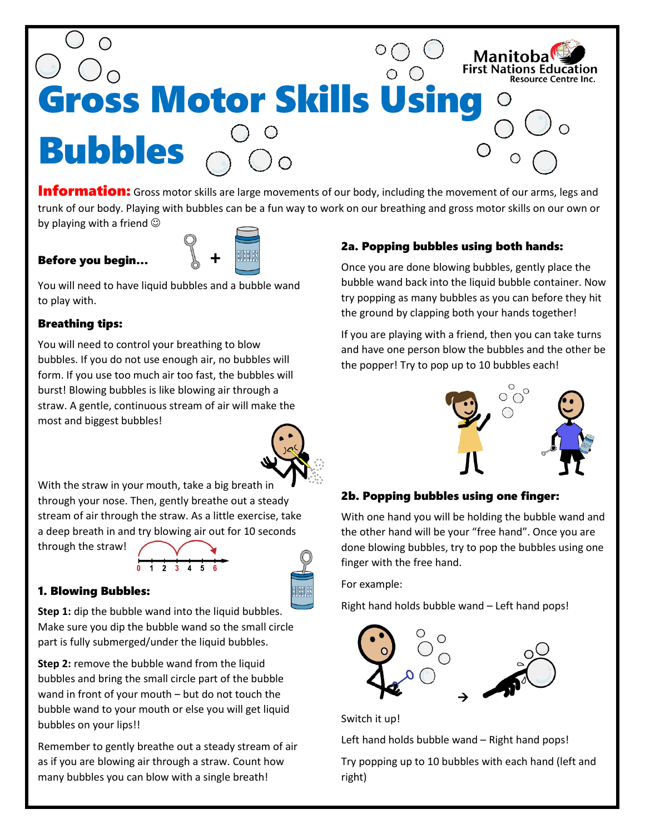

**Information:** Gross motor skills are large movements of our body, including the movement of our arms, legs and trunk of our body. Playing with bubbles can be a fun way to work on our breathing and gross motor skills on our own or by playing with a friend  $\odot$ 

## Before you begin… **+**



You will need to have liquid bubbles and a bubble wand to play with.

## Breathing tips:

You will need to control your breathing to blow bubbles. If you do not use enough air, no bubbles will form. If you use too much air too fast, the bubbles will burst! Blowing bubbles is like blowing air through a straw. A gentle, continuous stream of air will make the most and biggest bubbles!

With the straw in your mouth, take a big breath in through your nose. Then, gently breathe out a steady stream of air through the straw. As a little exercise, take a deep breath in and try blowing air out for 10 seconds

through the straw!



#### 1. Blowing Bubbles:

**Step 1:** dip the bubble wand into the liquid bubbles. Make sure you dip the bubble wand so the small circle part is fully submerged/under the liquid bubbles.

**Step 2:** remove the bubble wand from the liquid bubbles and bring the small circle part of the bubble wand in front of your mouth – but do not touch the bubble wand to your mouth or else you will get liquid bubbles on your lips!!

Remember to gently breathe out a steady stream of air as if you are blowing air through a straw. Count how many bubbles you can blow with a single breath!

# 2a. Popping bubbles using both hands:

Once you are done blowing bubbles, gently place the bubble wand back into the liquid bubble container. Now try popping as many bubbles as you can before they hit the ground by clapping both your hands together!

If you are playing with a friend, then you can take turns and have one person blow the bubbles and the other be the popper! Try to pop up to 10 bubbles each!



#### 2b. Popping bubbles using one finger:

With one hand you will be holding the bubble wand and the other hand will be your "free hand". Once you are done blowing bubbles, try to pop the bubbles using one finger with the free hand.

For example:

Right hand holds bubble wand – Left hand pops!



Switch it up!

Left hand holds bubble wand – Right hand pops!

Try popping up to 10 bubbles with each hand (left and right)